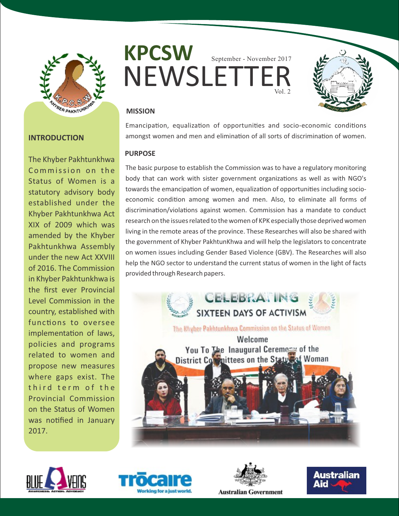

# **INTRODUCTION**

The Khyber Pakhtunkhwa Commission on the Status of Women is a statutory advisory body established under the Khyber Pakhtunkhwa Act XIX of 2009 which was amended by the Khyber Pakhtunkhwa Assembly under the new Act XXVIII of 2016. The Commission in Khyber Pakhtunkhwa is the first ever Provincial Level Commission in the country, established with functions to oversee implementation of laws, policies and programs related to women and propose new measures where gaps exist. The third term of the Provincial Commission on the Status of Women was notified in January 2017.





# **MISSION**

Emancipation, equalization of opportunities and socio-economic conditions amongst women and men and elimination of all sorts of discrimination of women.

## **PURPOSE**

The basic purpose to establish the Commission was to have a regulatory monitoring body that can work with sister government organizations as well as with NGO's towards the emancipation of women, equalization of opportunities including socioeconomic condition among women and men. Also, to eliminate all forms of discrimination/violations against women. Commission has a mandate to conduct research on the issues related to the women of KPK especially those deprived women living in the remote areas of the province. These Researches will also be shared with the government of Khyber PakhtunKhwa and will help the legislators to concentrate on women issues including Gender Based Violence (GBV). The Researches will also help the NGO sector to understand the current status of women in the light of facts provided through Research papers.









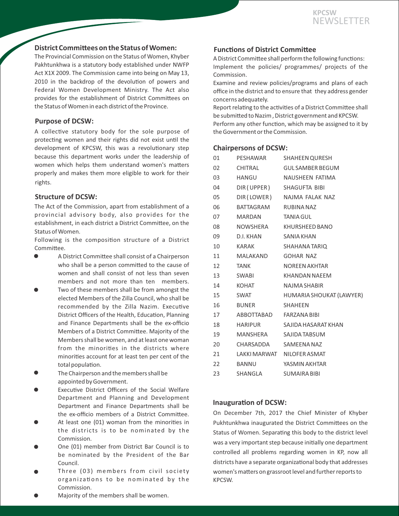### **District Committees on the Status of Women:**

The Provincial Commission on the Status of Women, Khyber Pakhtunkhwa is a statutory body established under NWFP Act X1X 2009. The Commission came into being on May 13, 2010 in the backdrop of the devolution of powers and Federal Women Development Ministry. The Act also provides for the establishment of District Committees on the Status of Women in each district of the Province.

# **Purpose of DCSW:**

A collective statutory body for the sole purpose of protecting women and their rights did not exist until the development of KPCSW, this was a revolutionary step because this department works under the leadership of women which helps them understand women's matters properly and makes them more eligible to work for their rights.

## **Structure of DCSW:**

The Act of the Commission, apart from establishment of a provincial advisory body, also provides for the establishment, in each district a District Committee, on the Status of Women.

Following is the composition structure of a District Committee.

- A District Committee shall consist of a Chairperson who shall be a person committed to the cause of women and shall consist of not less than seven members and not more than ten members.
- Two of these members shall be from amongst the elected Members of the Zilla Council, who shall be recommended by the Zilla Nazim. Executive District Officers of the Health, Education, Planning and Finance Departments shall be the ex-officio Members of a District Committee. Majority of the Members shall be women, and at least one woman from the minorities in the districts where minorities account for at least ten per cent of the total population.
- The Chairperson and the members shall be appointed by Government.
- Executive District Officers of the Social Welfare Department and Planning and Development Department and Finance Departments shall be the ex-officio members of a District Committee.
- At least one (01) woman from the minorities in the districts is to be nominated by the Commission.
- One (01) member from District Bar Council is to be nominated by the President of the Bar Council.
- Three (03) members from civil society organizations to be nominated by the Commission.

**Functions of District Committee** 

A District Committee shall perform the following functions: Implement the policies/ programmes/ projects of the Commission.

Examine and review policies/programs and plans of each office in the district and to ensure that they address gender concerns adequately.

Report relating to the activities of a District Committee shall be submitted to Nazim, District government and KPCSW. Perform any other function, which may be assigned to it by the Government or the Commission.

### **Chairpersons of DCSW:**

| 01 | PESHAWAR                | <b>SHAHEEN QURESH</b>       |
|----|-------------------------|-----------------------------|
| 02 | CHITRAL                 | <b>GUL SAMBER BEGUM</b>     |
| 03 | HANGU                   | NAUSHEEN FATIMA             |
| 04 |                         | DIR (UPPER) SHAGUFTA BIBI   |
| 05 |                         | DIR (LOWER) NAJMA FALAK NAZ |
| 06 | BATTAGRAM               | RUBINA NAZ                  |
| 07 | MARDAN                  | <b>TANIA GUL</b>            |
| 08 |                         | NOWSHERA KHURSHEED BANO     |
| 09 | D.I. KHAN               | SANIA KHAN                  |
| 10 | KARAK                   | SHAHANA TARIQ               |
| 11 | MALAKAND                | <b>GOHAR NAZ</b>            |
| 12 | <b>TANK</b>             | <b>NOREEN AKHTAR</b>        |
| 13 | <b>SWABI</b>            | <b>KHANDAN NAEEM</b>        |
| 14 | KOHAT                   | <b>NAJMA SHABIR</b>         |
| 15 | SWAT                    | HUMARIA SHOUKAT (LAWYER)    |
| 16 | <b>BUNER</b>            | <b>SHAHEEN</b>              |
| 17 | ABBOTTABAD FARZANA BIBI |                             |
| 18 | HARIPUR                 | SAJIDA HASARAT KHAN         |
| 19 |                         | MANSHERA SAJIDA TABSUM      |
| 20 | CHARSADDA               | SAMEENA NAZ                 |
| 21 |                         | LAKKI MARWAT NILOFER ASMAT  |
| 22 | <b>BANNU</b>            | YASMIN AKHTAR               |
| 23 | SHANGLA                 | <b>SUMAIRA BIBI</b>         |

### **Inauguration of DCSW:**

On December 7th, 2017 the Chief Minister of Khyber Pukhtunkhwa inaugurated the District Committees on the Status of Women. Separating this body to the district level was a very important step because initially one department controlled all problems regarding women in KP, now all districts have a separate organizational body that addresses women's matters on grassroot level and further reports to KPCSW.

Majority of the members shall be women.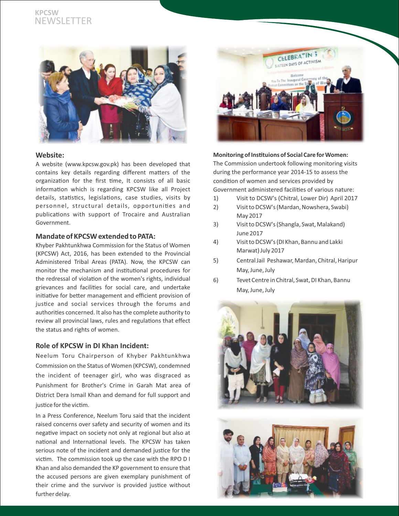# **KPCSW** NEWSLETTER



### **Website:**

A website (www.kpcsw.gov.pk) has been developed that contains key details regarding different matters of the organization for the first time, It consists of all basic information which is regarding KPCSW like all Project details, statistics, legislations, case studies, visits by personnel, structural details, opportunies and publications with support of Trocaire and Australian Government.

### **Mandate of KPCSW extended to PATA:**

Khyber Pakhtunkhwa Commission for the Status of Women (KPCSW) Act, 2016, has been extended to the Provincial Administered Tribal Areas (PATA). Now, the KPCSW can monitor the mechanism and institutional procedures for the redressal of violation of the women's rights, individual grievances and facilities for social care, and undertake initiative for better management and efficient provision of justice and social services through the forums and authorities concerned. It also has the complete authority to review all provincial laws, rules and regulations that effect the status and rights of women.

### **Role of KPCSW in DI Khan Incident:**

Neelum Toru Chairperson of Khyber Pakhtunkhwa Commission on the Status of Women (KPCSW), condemned the incident of teenager girl, who was disgraced as Punishment for Brother's Crime in Garah Mat area of District Dera Ismail Khan and demand for full support and justice for the victim.

In a Press Conference, Neelum Toru said that the incident raised concerns over safety and security of women and its negative impact on society not only at regional but also at national and International levels. The KPCSW has taken serious note of the incident and demanded justice for the victim. The commission took up the case with the RPO D I Khan and also demanded the KP government to ensure that the accused persons are given exemplary punishment of their crime and the survivor is provided justice without further delay.



#### **Monitoring of Instituions of Social Care for Women:**

The Commission undertook following monitoring visits during the performance year 2014-15 to assess the condition of women and services provided by Government administered facilities of various nature:

- 1) Visit to DCSW's (Chitral, Lower Dir) April 2017
- 2) Visit to DCSW's (Mardan, Nowshera, Swabi) May 2017
- 3) Visit to DCSW's (Shangla, Swat, Malakand) June 2017
- 4) Visit to DCSW's (DI Khan, Bannu and Lakki Marwat) July 2017
- 5) Central Jail Peshawar, Mardan, Chitral, Haripur May, June, July
- 6) Tevet Centre in Chitral, Swat, DI Khan, Bannu May, June, July